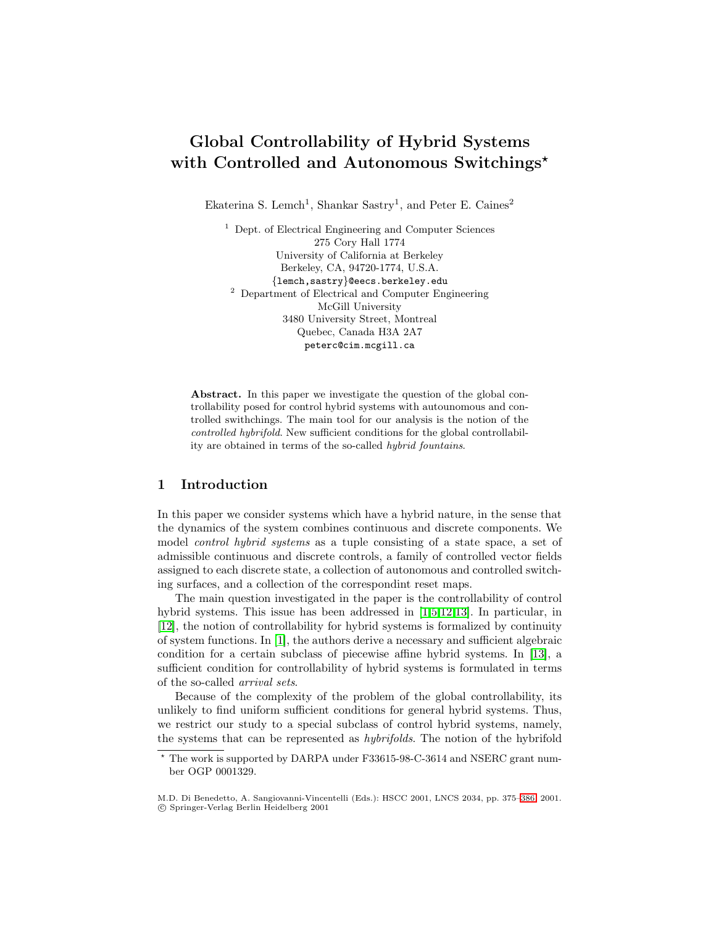# **Global Controllability of Hybrid Systems with Controlled and Autonomous Switchings***?*

Ekaterina S. Lemch<sup>1</sup>, Shankar Sastry<sup>1</sup>, and Peter E. Caines<sup>2</sup>

<sup>1</sup> Dept. of Electrical Engineering and Computer Sciences 275 Cory Hall 1774 University of California at Berkeley Berkeley, CA, 94720-1774, U.S.A. {lemch,sastry}@eecs.berkeley.edu <sup>2</sup> Department of Electrical and Computer Engineering McGill University 3480 University Street, Montreal Quebec, Canada H3A 2A7 peterc@cim.mcgill.ca

**Abstract.** In this paper we investigate the question of the global controllability posed for control hybrid systems with autounomous and controlled swithchings. The main tool for our analysis is the notion of the controlled hybrifold. New sufficient conditions for the global controllability are obtained in terms of the so-called hybrid fountains.

# **1 Introduction**

In this paper we consider systems which have a hybrid nature, in the sense that the dynamics of the system combines continuous and discrete components. We model *control hybrid systems* as a tuple consisting of a state space, a set of admissible continuous and discrete controls, a family of controlled vector fields assigned to each discrete state, a collection of autonomous and controlled switching surfaces, and a collection of the correspondint reset maps.

The main question investigated in the paper is the controllability of control hybrid systems. This issue has been addressed in [\[1,5,12,13\]](#page-11-0). In particular, in [\[12\]](#page-11-0), the notion of controllability for hybrid systems is formalized by continuity of system functions. In [\[1\]](#page-11-0), the authors derive a necessary and sufficient algebraic condition for a certain subclass of piecewise affine hybrid systems. In [\[13\]](#page-11-0), a sufficient condition for controllability of hybrid systems is formulated in terms of the so-called arrival sets.

Because of the complexity of the problem of the global controllability, its unlikely to find uniform sufficient conditions for general hybrid systems. Thus, we restrict our study to a special subclass of control hybrid systems, namely, the systems that can be represented as hybrifolds. The notion of the hybrifold

<sup>?</sup> The work is supported by DARPA under F33615-98-C-3614 and NSERC grant number OGP 0001329.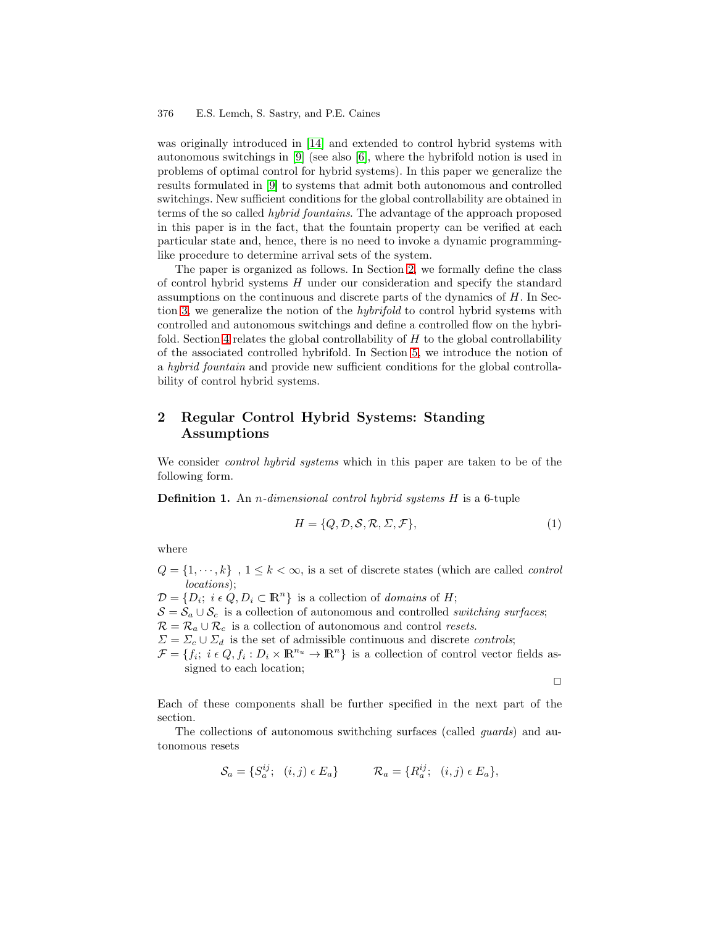<span id="page-1-0"></span>was originally introduced in [\[14\]](#page-11-0) and extended to control hybrid systems with autonomous switchings in [\[9\]](#page-11-0) (see also [\[6\]](#page-11-0), where the hybrifold notion is used in problems of optimal control for hybrid systems). In this paper we generalize the results formulated in [\[9\]](#page-11-0) to systems that admit both autonomous and controlled switchings. New sufficient conditions for the global controllability are obtained in terms of the so called hybrid fountains. The advantage of the approach proposed in this paper is in the fact, that the fountain property can be verified at each particular state and, hence, there is no need to invoke a dynamic programminglike procedure to determine arrival sets of the system.

The paper is organized as follows. In Section 2, we formally define the class of control hybrid systems  $H$  under our consideration and specify the standard assumptions on the continuous and discrete parts of the dynamics of  $H$ . In Sec-tion [3,](#page-4-0) we generalize the notion of the *hybrifold* to control hybrid systems with controlled and autonomous switchings and define a controlled flow on the hybri-fold. Section [4](#page-5-0) relates the global controllability of  $H$  to the global controllability of the associated controlled hybrifold. In Section [5,](#page-7-0) we introduce the notion of a hybrid fountain and provide new sufficient conditions for the global controllability of control hybrid systems.

# **2 Regular Control Hybrid Systems: Standing Assumptions**

We consider *control hybrid systems* which in this paper are taken to be of the following form.

**Definition 1.** An *n*-dimensional control hybrid systems H is a 6-tuple

$$
H = \{Q, \mathcal{D}, \mathcal{S}, \mathcal{R}, \Sigma, \mathcal{F}\},\tag{1}
$$

where

 $Q = \{1, \dots, k\}$ ,  $1 \leq k < \infty$ , is a set of discrete states (which are called *control* locations);

 $\mathcal{D} = \{D_i; i \in Q, D_i \subset \mathbb{R}^n\}$  is a collection of *domains* of *H*;  $S = S_a \cup S_c$  is a collection of autonomous and controlled switching surfaces;  $\mathcal{R} = \mathcal{R}_a \cup \mathcal{R}_c$  is a collection of autonomous and control resets.  $\Sigma = \Sigma_c \cup \Sigma_d$  is the set of admissible continuous and discrete *controls*;  $\mathcal{F} = \{f_i; i \in Q, f_i : D_i \times \mathbb{R}^{n_u} \to \mathbb{R}^n\}$  is a collection of control vector fields assigned to each location;

 $\Box$ 

Each of these components shall be further specified in the next part of the section.

The collections of autonomous swithching surfaces (called guards) and autonomous resets

$$
\mathcal{S}_a = \{ S_a^{ij}; \quad (i,j) \in E_a \} \qquad \mathcal{R}_a = \{ R_a^{ij}; \quad (i,j) \in E_a \},
$$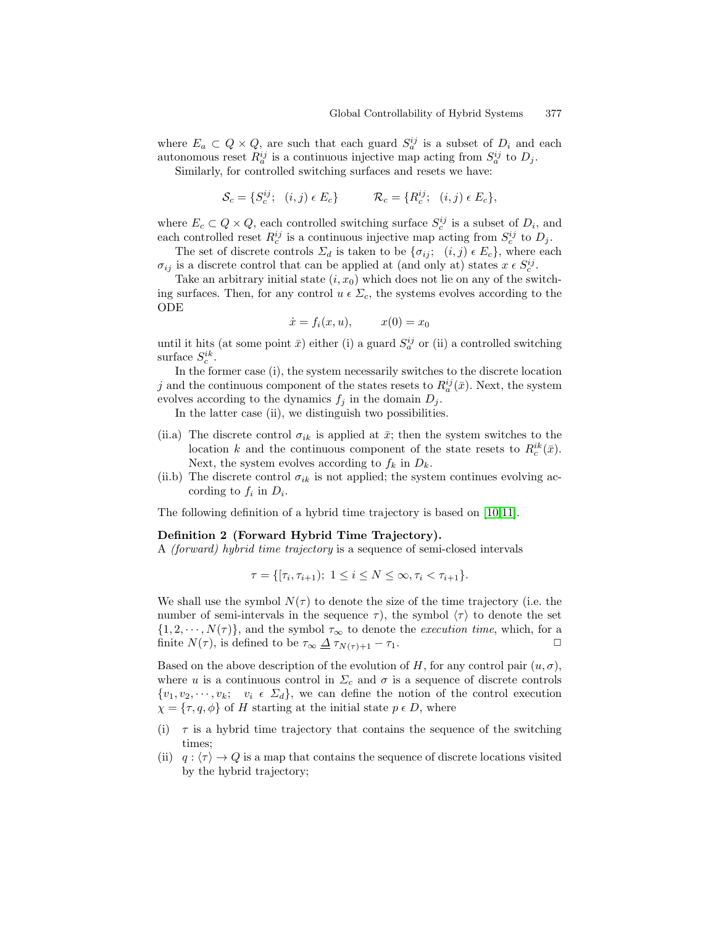where  $E_a \subset Q \times Q$ , are such that each guard  $S_a^{ij}$  is a subset of  $D_i$  and each autonomous reset  $R_a^{ij}$  is a continuous injective map acting from  $S_a^{ij}$  to  $D_j$ .

Similarly, for controlled switching surfaces and resets we have:

$$
\mathcal{S}_c = \{ S_c^{ij}; \quad (i,j) \in E_c \} \qquad \mathcal{R}_c = \{ R_c^{ij}; \quad (i,j) \in E_c \},
$$

where  $E_c \subset Q \times Q$ , each controlled switching surface  $S_c^{ij}$  is a subset of  $D_i$ , and each controlled reset  $R_c^{ij}$  is a continuous injective map acting from  $S_c^{ij}$  to  $D_j$ .

The set of discrete controls  $\Sigma_d$  is taken to be  $\{\sigma_{ij}; (i,j) \in E_c\}$ , where each  $\sigma_{ij}$  is a discrete control that can be applied at (and only at) states  $x \in S_c^{ij}$ .

Take an arbitrary initial state  $(i, x_0)$  which does not lie on any of the switching surfaces. Then, for any control  $u \in \Sigma_c$ , the systems evolves according to the ODE

$$
\dot{x} = f_i(x, u), \qquad x(0) = x_0
$$

until it hits (at some point  $\bar{x}$ ) either (i) a guard  $S_a^{ij}$  or (ii) a controlled switching surface  $S_c^{ik}$ .

In the former case (i), the system necessarily switches to the discrete location j and the continuous component of the states resets to  $R_a^{ij}(\bar{x})$ . Next, the system evolves according to the dynamics  $f_j$  in the domain  $D_j$ .

In the latter case (ii), we distinguish two possibilities.

- (ii.a) The discrete control  $\sigma_{ik}$  is applied at  $\bar{x}$ ; then the system switches to the location k and the continuous component of the state resets to  $R_c^{ik}(\bar{x})$ . Next, the system evolves according to  $f_k$  in  $D_k$ .
- (ii.b) The discrete control  $\sigma_{ik}$  is not applied; the system continues evolving according to  $f_i$  in  $D_i$ .

The following definition of a hybrid time trajectory is based on [\[10,11\]](#page-11-0).

### **Definition 2 (Forward Hybrid Time Trajectory).**

A (forward) hybrid time trajectory is a sequence of semi-closed intervals

$$
\tau = \{ [\tau_i, \tau_{i+1}); \ 1 \le i \le N \le \infty, \tau_i < \tau_{i+1} \}.
$$

We shall use the symbol  $N(\tau)$  to denote the size of the time trajectory (i.e. the number of semi-intervals in the sequence  $\tau$ ), the symbol  $\langle \tau \rangle$  to denote the set  $\{1, 2, \dots, N(\tau)\}\$ , and the symbol  $\tau_{\infty}$  to denote the *execution time*, which, for a finite  $N(\tau)$ , is defined to be  $\tau_{\infty} \Delta \tau_{N(\tau)+1} - \tau_1$ . finite  $N(\tau)$ , is defined to be  $\tau_{\infty} \Delta \tau_{N(\tau)+1} - \tau_1$ .

Based on the above description of the evolution of H, for any control pair  $(u, \sigma)$ , where u is a continuous control in  $\Sigma_c$  and  $\sigma$  is a sequence of discrete controls  $\{v_1, v_2, \dots, v_k; v_i \in \Sigma_d\}$ , we can define the notion of the control execution  $\chi = {\tau, q, \phi}$  of H starting at the initial state  $p \in D$ , where

- (i)  $\tau$  is a hybrid time trajectory that contains the sequence of the switching times;
- (ii)  $q: \langle \tau \rangle \to Q$  is a map that contains the sequence of discrete locations visited by the hybrid trajectory;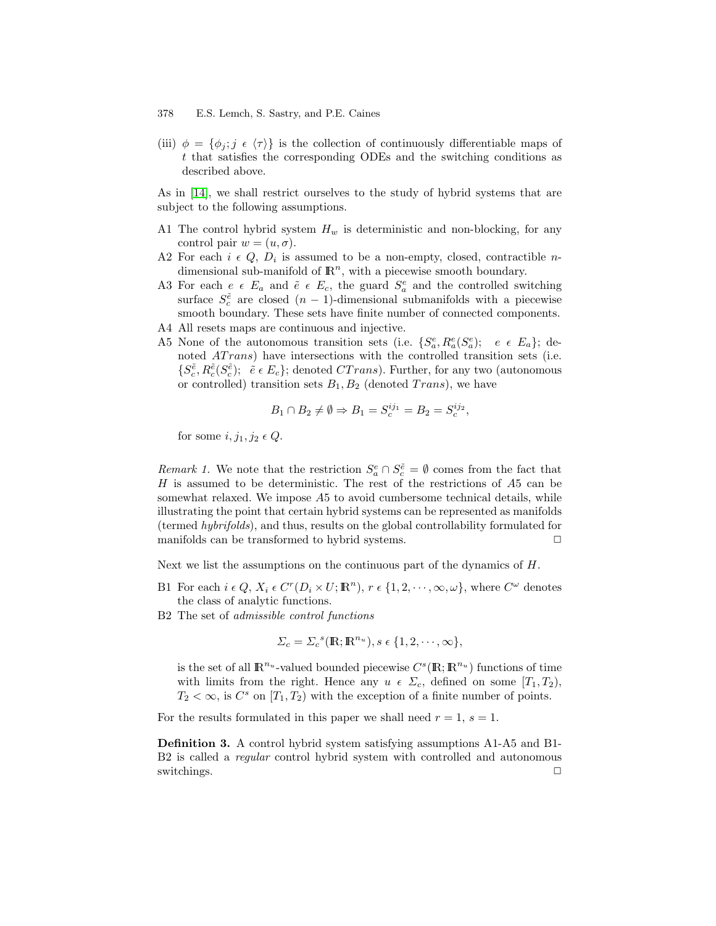(iii)  $\phi = {\phi_i; j \in {\tau}}$  is the collection of continuously differentiable maps of t that satisfies the corresponding ODEs and the switching conditions as described above.

As in [\[14\]](#page-11-0), we shall restrict ourselves to the study of hybrid systems that are subject to the following assumptions.

- A1 The control hybrid system  $H_w$  is deterministic and non-blocking, for any control pair  $w = (u, \sigma)$ .
- A2 For each  $i \in Q$ ,  $D_i$  is assumed to be a non-empty, closed, contractible ndimensional sub-manifold of  $\mathbb{R}^n$ , with a piecewise smooth boundary.
- A3 For each  $e \in E_a$  and  $\tilde{e} \in E_c$ , the guard  $S_a^e$  and the controlled switching surface  $S_c^{\tilde{e}}$  are closed  $(n-1)$ -dimensional submanifolds with a piecewise smooth boundary. These sets have finite number of connected components. A4 All resets maps are continuous and injective.
- A5 None of the autonomous transition sets (i.e.  $\{S_a^e, R_a^e(S_a^e); e \in E_a\};$  de-
- noted *AT rans*) have intersections with the controlled transition sets (i.e.  $\{S_c^{\tilde{e}}, R_c^{\tilde{e}}(S_c^{\tilde{e}}); \tilde{e} \in E_c\}$ ; denoted  $CTrans$ ). Further, for any two (autonomous or controlled) transition sets  $B_1, B_2$  (denoted Trans), we have

$$
B_1 \cap B_2 \neq \emptyset \Rightarrow B_1 = S_c^{ij_1} = B_2 = S_c^{ij_2},
$$

for some i,  $i_1, i_2 \in Q$ .

*Remark 1*. We note that the restriction  $S_a^e \cap S_c^{\tilde{e}} = \emptyset$  comes from the fact that H is assumed to be deterministic. The rest of the restrictions of  $A5$  can be somewhat relaxed. We impose A5 to avoid cumbersome technical details, while illustrating the point that certain hybrid systems can be represented as manifolds (termed hybrifolds), and thus, results on the global controllability formulated for manifolds can be transformed to hybrid systems.  $\Box$ 

Next we list the assumptions on the continuous part of the dynamics of  $H$ .

- B1 For each  $i \in Q$ ,  $X_i \in C^r(D_i \times U; \mathbb{R}^n)$ ,  $r \in \{1, 2, \dots, \infty, \omega\}$ , where  $C^{\omega}$  denotes the class of analytic functions.
- B2 The set of admissible control functions

$$
\Sigma_c = \Sigma_c^{s}(\mathbb{R}; \mathbb{R}^{n_u}), s \in \{1, 2, \cdots, \infty\},\
$$

is the set of all  $\mathbb{R}^{n_u}$ -valued bounded piecewise  $C^s(\mathbb{R}; \mathbb{R}^{n_u})$  functions of time with limits from the right. Hence any  $u \in \Sigma_c$ , defined on some  $[T_1, T_2)$ ,  $T_2 < \infty$ , is  $C^s$  on  $[T_1, T_2)$  with the exception of a finite number of points.

For the results formulated in this paper we shall need  $r = 1$ ,  $s = 1$ .

**Definition 3.** A control hybrid system satisfying assumptions A1-A5 and B1- B2 is called a *regular* control hybrid system with controlled and autonomous switchings.  $\Box$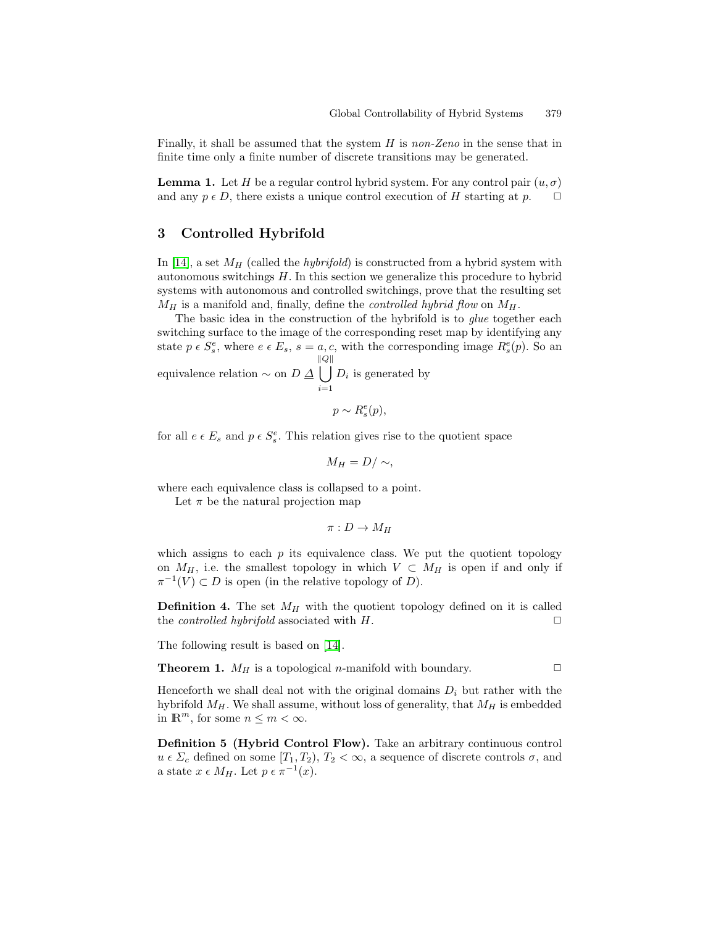<span id="page-4-0"></span>Finally, it shall be assumed that the system H is non-Zeno in the sense that in finite time only a finite number of discrete transitions may be generated.

**Lemma 1.** Let H be a regular control hybrid system. For any control pair  $(u, \sigma)$ and any  $p \in D$ , there exists a unique control execution of H starting at p.

## **3 Controlled Hybrifold**

In [\[14\]](#page-11-0), a set  $M_H$  (called the *hybrifold*) is constructed from a hybrid system with autonomous switchings H. In this section we generalize this procedure to hybrid systems with autonomous and controlled switchings, prove that the resulting set  $M_H$  is a manifold and, finally, define the *controlled hybrid flow* on  $M_H$ .

The basic idea in the construction of the hybrifold is to *glue* together each switching surface to the image of the corresponding reset map by identifying any state  $p \in S_s^e$ , where  $e \in E_s$ ,  $s = a, c$ , with the corresponding image  $R_s^e(p)$ . So an equivalence relation  $\sim$  on  $D \Delta$ k [  $Q\|$  $D_i$  is generated by

$$
p \sim R_s^e(p),
$$

for all  $e \in E_s$  and  $p \in S_s^e$ . This relation gives rise to the quotient space

 $i=1$ 

$$
M_H = D / \sim,
$$

where each equivalence class is collapsed to a point.

Let  $\pi$  be the natural projection map

$$
\pi: D \to M_H
$$

which assigns to each  $p$  its equivalence class. We put the quotient topology on  $M_H$ , i.e. the smallest topology in which  $V \subset M_H$  is open if and only if  $\pi^{-1}(V) \subset D$  is open (in the relative topology of D).

**Definition 4.** The set  $M_H$  with the quotient topology defined on it is called the *controlled hybrifold* associated with  $H$ .  $\Box$ 

The following result is based on [\[14\]](#page-11-0).

**Theorem 1.**  $M_H$  is a topological *n*-manifold with boundary.

Henceforth we shall deal not with the original domains  $D_i$  but rather with the hybrifold  $M_H$ . We shall assume, without loss of generality, that  $M_H$  is embedded in  $\mathbb{R}^m$ , for some  $n \leq m < \infty$ .

**Definition 5 (Hybrid Control Flow).** Take an arbitrary continuous control  $u \in \Sigma_c$  defined on some  $[T_1, T_2], T_2 < \infty$ , a sequence of discrete controls  $\sigma$ , and a state  $x \in M_H$ . Let  $p \in \pi^{-1}(x)$ .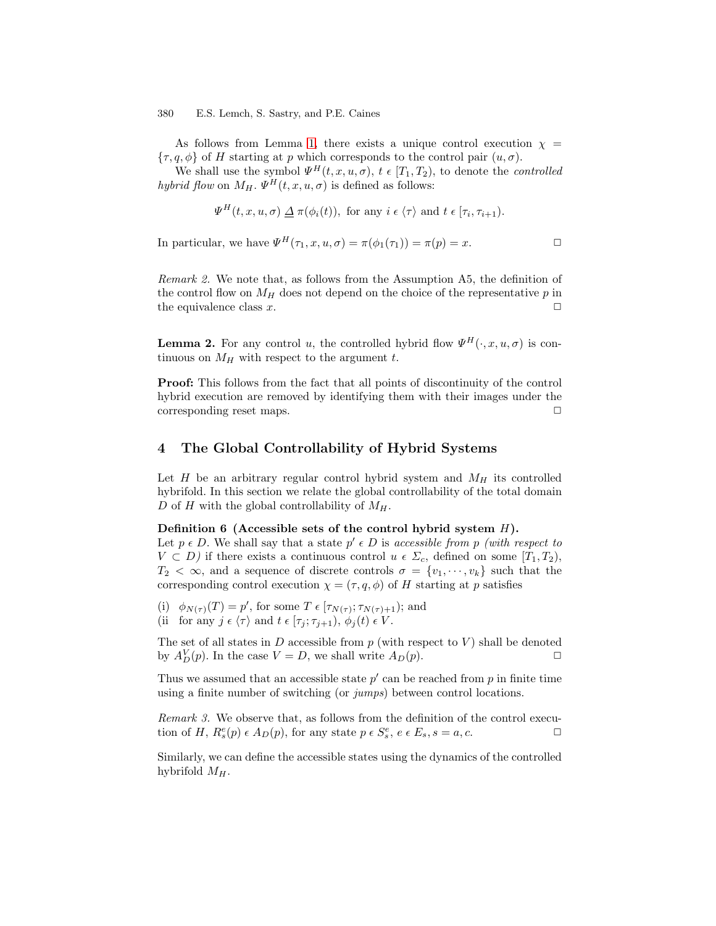<span id="page-5-0"></span>As follows from Lemma [1,](#page-4-0) there exists a unique control execution  $\chi$  =  $\{\tau, q, \phi\}$  of H starting at p which corresponds to the control pair  $(u, \sigma)$ .

We shall use the symbol  $\Psi^H(t, x, u, \sigma)$ ,  $t \in [T_1, T_2)$ , to denote the *controlled* hybrid flow on  $M_H$ .  $\Psi^H(t, x, u, \sigma)$  is defined as follows:

$$
\Psi^H(t, x, u, \sigma) \underline{\Delta} \pi(\phi_i(t)), \text{ for any } i \in \langle \tau \rangle \text{ and } t \in [\tau_i, \tau_{i+1}).
$$

In particular, we have  $\Psi^H(\tau_1, x, u, \sigma) = \pi(\phi_1(\tau_1)) = \pi(\mathfrak{p}) = x.$ 

Remark 2. We note that, as follows from the Assumption A5, the definition of the control flow on  $M_H$  does not depend on the choice of the representative p in the equivalence class  $x$ .  $\Box$ 

**Lemma 2.** For any control u, the controlled hybrid flow  $\Psi^H(\cdot, x, u, \sigma)$  is continuous on  $M_H$  with respect to the argument t.

**Proof:** This follows from the fact that all points of discontinuity of the control hybrid execution are removed by identifying them with their images under the corresponding reset maps.  $\Box$ 

## **4 The Global Controllability of Hybrid Systems**

Let H be an arbitrary regular control hybrid system and  $M_H$  its controlled hybrifold. In this section we relate the global controllability of the total domain D of H with the global controllability of  $M_H$ .

## **Definition 6 (Accessible sets of the control hybrid system** H**).**

Let  $p \in D$ . We shall say that a state  $p' \in D$  is accessible from p (with respect to  $V \subset D$ ) if there exists a continuous control  $u \in \Sigma_c$ , defined on some  $[T_1, T_2]$ ,  $T_2 < \infty$ , and a sequence of discrete controls  $\sigma = \{v_1, \dots, v_k\}$  such that the corresponding control execution  $\chi = (\tau, q, \phi)$  of H starting at p satisfies

- (i)  $\phi_{N(\tau)}(T) = p'$ , for some  $T \in [\tau_{N(\tau)}; \tau_{N(\tau)+1})$ ; and
- (ii for any  $j \in \langle \tau \rangle$  and  $t \in [\tau_j; \tau_{j+1}), \phi_j (t) \in V$ .

The set of all states in  $D$  accessible from  $p$  (with respect to  $V$ ) shall be denoted by  $A_D^V(p)$ . In the case  $V = D$ , we shall write  $A_D(p)$ .

Thus we assumed that an accessible state  $p'$  can be reached from p in finite time using a finite number of switching (or jumps) between control locations.

Remark 3. We observe that, as follows from the definition of the control execution of H,  $R_s^e(p) \in A_D(p)$ , for any state  $p \in S_s^e$ ,  $e \in E_s$ ,  $s = a, c$ .

Similarly, we can define the accessible states using the dynamics of the controlled hybrifold  $M_H$ .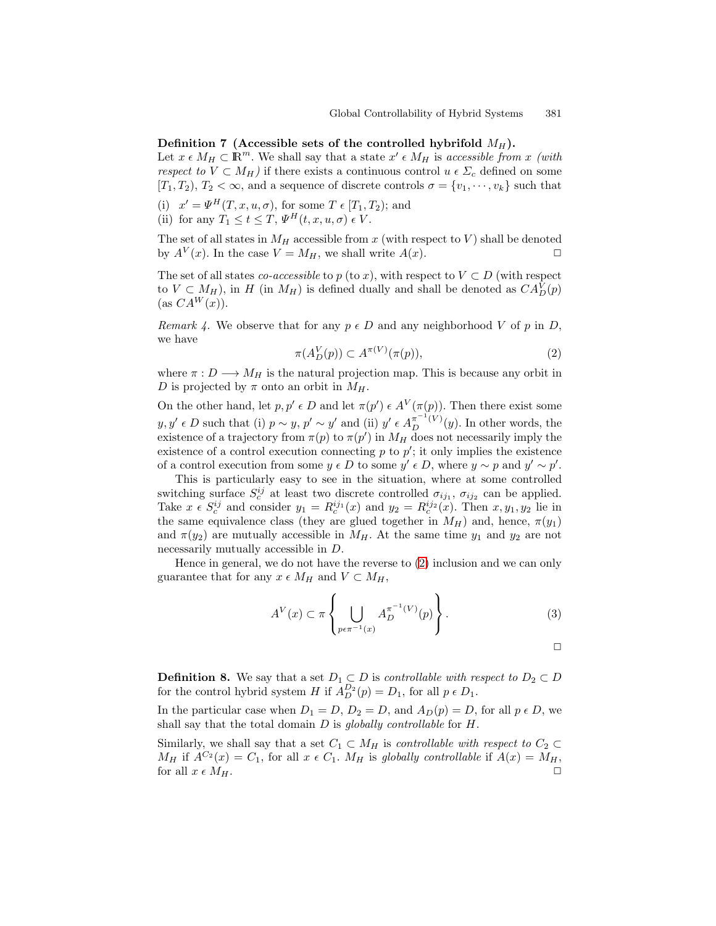#### <span id="page-6-0"></span>**Definition 7** (Accessible sets of the controlled hybrifold  $M_H$ ).

Let  $x \in M_H \subset \mathbb{R}^m$ . We shall say that a state  $x' \in M_H$  is accessible from x (with respect to  $V \subset M_H$ ) if there exists a continuous control  $u \in \Sigma_c$  defined on some  $[T_1, T_2], T_2 < \infty$ , and a sequence of discrete controls  $\sigma = \{v_1, \dots, v_k\}$  such that

- (i)  $x' = \Psi^H(T, x, u, \sigma)$ , for some  $T \in [T_1, T_2)$ ; and
- (ii) for any  $T_1 \le t \le T$ ,  $\Psi^H(t, x, u, \sigma) \in V$ .

The set of all states in  $M_H$  accessible from x (with respect to V) shall be denoted by  $A^V(x)$ . In the case  $V = M_H$ , we shall write  $A(x)$ .

The set of all states *co-accessible* to p (to x), with respect to  $V \subset D$  (with respect to  $V \subset M_H$ ), in H (in  $M_H$ ) is defined dually and shall be denoted as  $CA_D^V(p)$  $(\text{as } CA^W(x)).$ 

Remark 4. We observe that for any  $p \in D$  and any neighborhood V of p in D, we have

$$
\pi(A_D^V(p)) \subset A^{\pi(V)}(\pi(p)),\tag{2}
$$

where  $\pi: D \longrightarrow M_H$  is the natural projection map. This is because any orbit in D is projected by  $\pi$  onto an orbit in  $M_H$ .

On the other hand, let  $p, p' \in D$  and let  $\pi(p') \in A^V(\pi(p))$ . Then there exist some  $y, y' \in D$  such that (i)  $p \sim y$ ,  $p' \sim y'$  and (ii)  $y' \in A_D^{\pi^{-1}(V)}(y)$ . In other words, the existence of a trajectory from  $\pi(p)$  to  $\pi(p')$  in  $M_H$  does not necessarily imply the existence of a control execution connecting  $p$  to  $p'$ ; it only implies the existence of a control execution from some  $y \in D$  to some  $y' \in D$ , where  $y \sim p$  and  $y' \sim p'$ .

This is particularly easy to see in the situation, where at some controlled switching surface  $S_c^{ij}$  at least two discrete controlled  $\sigma_{ij_1}$ ,  $\sigma_{ij_2}$  can be applied. Take  $x \in S_c^{ij}$  and consider  $y_1 = R_c^{ij_1}(x)$  and  $y_2 = R_c^{ij_2}(x)$ . Then  $x, y_1, y_2$  lie in the same equivalence class (they are glued together in  $M_H$ ) and, hence,  $\pi(y_1)$ and  $\pi(y_2)$  are mutually accessible in  $M_H$ . At the same time  $y_1$  and  $y_2$  are not necessarily mutually accessible in D.

Hence in general, we do not have the reverse to (2) inclusion and we can only guarantee that for any  $x \in M_H$  and  $V \subset M_H$ ,

$$
A^V(x) \subset \pi \left\{ \bigcup_{p \in \pi^{-1}(x)} A_D^{\pi^{-1}(V)}(p) \right\}.
$$
 (3)

 $\Box$ 

**Definition 8.** We say that a set  $D_1 \subset D$  is *controllable with respect to*  $D_2 \subset D$ for the control hybrid system H if  $A_D^{D_2}(p) = D_1$ , for all  $p \in D_1$ .

In the particular case when  $D_1 = D$ ,  $D_2 = D$ , and  $A_D(p) = D$ , for all  $p \in D$ , we shall say that the total domain  $D$  is globally controllable for  $H$ .

Similarly, we shall say that a set  $C_1 \subset M_H$  is *controllable with respect to*  $C_2 \subset$  $M_H$  if  $A^{C_2}(x) = C_1$ , for all  $x \in C_1$ .  $M_H$  is globally controllable if  $A(x) = M_H$ , for all  $x \in M_H$ .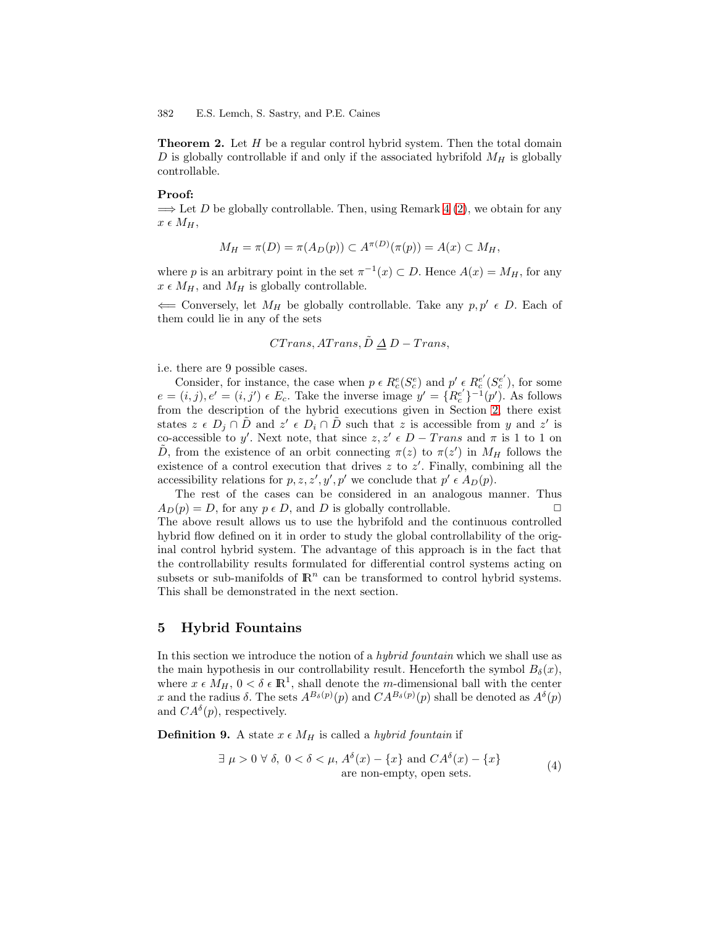<span id="page-7-0"></span>**Theorem 2.** Let H be a regular control hybrid system. Then the total domain D is globally controllable if and only if the associated hybrifold  $M_H$  is globally controllable.

#### **Proof:**

 $\implies$  Let D be globally controllable. Then, using Remark [4](#page-6-0) [\(2\)](#page-6-0), we obtain for any  $x \in M_H$ ,

$$
M_H = \pi(D) = \pi(A_D(p)) \subset A^{\pi(D)}(\pi(p)) = A(x) \subset M_H,
$$

where p is an arbitrary point in the set  $\pi^{-1}(x) \subset D$ . Hence  $A(x) = M_H$ , for any  $x \in M_H$ , and  $M_H$  is globally controllable.

 $\Leftarrow$  Conversely, let  $M_H$  be globally controllable. Take any  $p, p' \in D$ . Each of them could lie in any of the sets

$$
CTrans, ATrans, \tilde{D} \triangleq D - Trans,
$$

i.e. there are 9 possible cases.

Consider, for instance, the case when  $p \in R_c^e(S_c^e)$  and  $p' \in R_c^{e'}(S_c^{e'})$ , for some  $e = (i, j), e' = (i, j') \in E_c$ . Take the inverse image  $y' = \{R_c^{e'}\}^{-1}(p')$ . As follows from the description of the hybrid executions given in Section [2,](#page-1-0) there exist states  $z \in D_i \cap \overline{D}$  and  $z' \in D_i \cap \overline{D}$  such that z is accessible from y and z' is co-accessible to y'. Next note, that since  $z, z' \in D - Trans$  and  $\pi$  is 1 to 1 on D, from the existence of an orbit connecting  $\pi(z)$  to  $\pi(z')$  in  $M_H$  follows the existence of a control execution that drives  $z$  to  $z'$ . Finally, combining all the accessibility relations for  $p, z, z', y', p'$  we conclude that  $p' \in A_D(p)$ .

The rest of the cases can be considered in an analogous manner. Thus  $A_D(p) = D$ , for any  $p \in D$ , and D is globally controllable. The above result allows us to use the hybrifold and the continuous controlled hybrid flow defined on it in order to study the global controllability of the original control hybrid system. The advantage of this approach is in the fact that the controllability results formulated for differential control systems acting on subsets or sub-manifolds of  $\mathbb{R}^n$  can be transformed to control hybrid systems. This shall be demonstrated in the next section.

## **5 Hybrid Fountains**

In this section we introduce the notion of a *hybrid fountain* which we shall use as the main hypothesis in our controllability result. Henceforth the symbol  $B_{\delta}(x)$ , where  $x \in M_H$ ,  $0 < \delta \in \mathbb{R}^1$ , shall denote the m-dimensional ball with the center x and the radius  $\delta$ . The sets  $A^{B_{\delta}(p)}(p)$  and  $CA^{B_{\delta}(p)}(p)$  shall be denoted as  $A^{\delta}(p)$ and  $CA^{\delta}(p)$ , respectively.

**Definition 9.** A state  $x \in M_H$  is called a *hybrid fountain* if

$$
\exists \mu > 0 \,\forall \,\delta, \ 0 < \delta < \mu, A^{\delta}(x) - \{x\} \text{ and } CA^{\delta}(x) - \{x\}
$$
  
are non-empty, open sets. (4)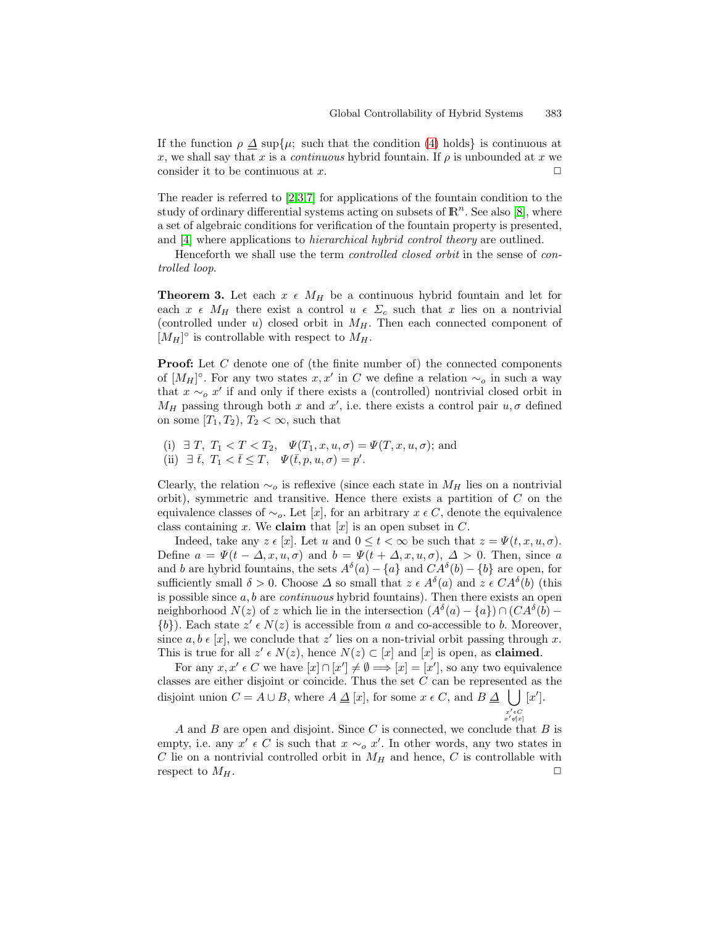<span id="page-8-0"></span>If the function  $\rho \Delta \sup \{\mu; \text{ such that the condition (4) holds}\}\$  $\rho \Delta \sup \{\mu; \text{ such that the condition (4) holds}\}\$  $\rho \Delta \sup \{\mu; \text{ such that the condition (4) holds}\}\$ is continuous at x, we shall say that x is a *continuous* hybrid fountain. If  $\rho$  is unbounded at x we consider it to be continuous at  $x$ .  $\Box$ 

The reader is referred to [\[2,3,7\]](#page-11-0) for applications of the fountain condition to the study of ordinary differential systems acting on subsets of  $\mathbb{R}^n$ . See also [\[8\]](#page-11-0), where a set of algebraic conditions for verification of the fountain property is presented, and [\[4\]](#page-11-0) where applications to hierarchical hybrid control theory are outlined.

Henceforth we shall use the term controlled closed orbit in the sense of controlled loop.

**Theorem 3.** Let each  $x \in M_H$  be a continuous hybrid fountain and let for each  $x \in M_H$  there exist a control  $u \in \Sigma_c$  such that x lies on a nontrivial (controlled under u) closed orbit in  $M_H$ . Then each connected component of  $[M_H]^\circ$  is controllable with respect to  $M_H$ .

**Proof:** Let C denote one of (the finite number of) the connected components of  $[M_H]^\circ$ . For any two states  $x, x'$  in C we define a relation  $\sim_o$  in such a way that  $x \sim_o x'$  if and only if there exists a (controlled) nontrivial closed orbit in  $M_H$  passing through both x and x', i.e. there exists a control pair  $u, \sigma$  defined on some  $[T_1, T_2), T_2 < \infty$ , such that

(i)  $\exists T, T_1 < T < T_2, \quad \Psi(T_1, x, u, \sigma) = \Psi(T, x, u, \sigma);$  and (ii)  $\exists \bar{t}, T_1 < \bar{t} \leq T, \quad \Psi(\bar{t}, p, u, \sigma) = p'.$ 

Clearly, the relation  $\sim_o$  is reflexive (since each state in  $M_H$  lies on a nontrivial orbit), symmetric and transitive. Hence there exists a partition of  $C$  on the equivalence classes of  $\sim_o$ . Let [x], for an arbitrary  $x \in C$ , denote the equivalence class containing x. We **claim** that  $[x]$  is an open subset in C.

Indeed, take any  $z \in [x]$ . Let u and  $0 \le t \le \infty$  be such that  $z = \Psi(t, x, u, \sigma)$ . Define  $a = \Psi(t - \Delta, x, u, \sigma)$  and  $b = \Psi(t + \Delta, x, u, \sigma), \Delta > 0$ . Then, since a and b are hybrid fountains, the sets  $A^{\delta}(a) - \{a\}$  and  $CA^{\delta}(b) - \{b\}$  are open, for sufficiently small  $\delta > 0$ . Choose  $\Delta$  so small that  $z \in A^{\delta}(a)$  and  $z \in CA^{\delta}(b)$  (this is possible since  $a, b$  are *continuous* hybrid fountains). Then there exists an open neighborhood  $N(z)$  of z which lie in the intersection  $(A^{\delta}(a) - \{a\}) \cap (CA^{\delta}(b) \{b\}$ ). Each state  $z' \in N(z)$  is accessible from a and co-accessible to b. Moreover, since a,  $b \in [x]$ , we conclude that z' lies on a non-trivial orbit passing through x. This is true for all  $z' \in N(z)$ , hence  $N(z) \subset [x]$  and  $[x]$  is open, as **claimed**.

For any  $x, x' \in C$  we have  $[x] \cap [x'] \neq \emptyset \Longrightarrow [x] = [x']$ , so any two equivalence classes are either disjoint or coincide. Thus the set C can be represented as the disjoint union  $C = A \cup B$ , where  $A \triangleq [x]$ , for some  $x \in C$ , and  $B \triangleq \bigcup [x']$ .  $x'\epsilon C \ x'\epsilon(x)$ 

A and B are open and disjoint. Since C is connected, we conclude that B is empty, i.e. any  $x' \in C$  is such that  $x \sim_o x'$ . In other words, any two states in C lie on a nontrivial controlled orbit in  $M_H$  and hence, C is controllable with respect to  $M_H$ .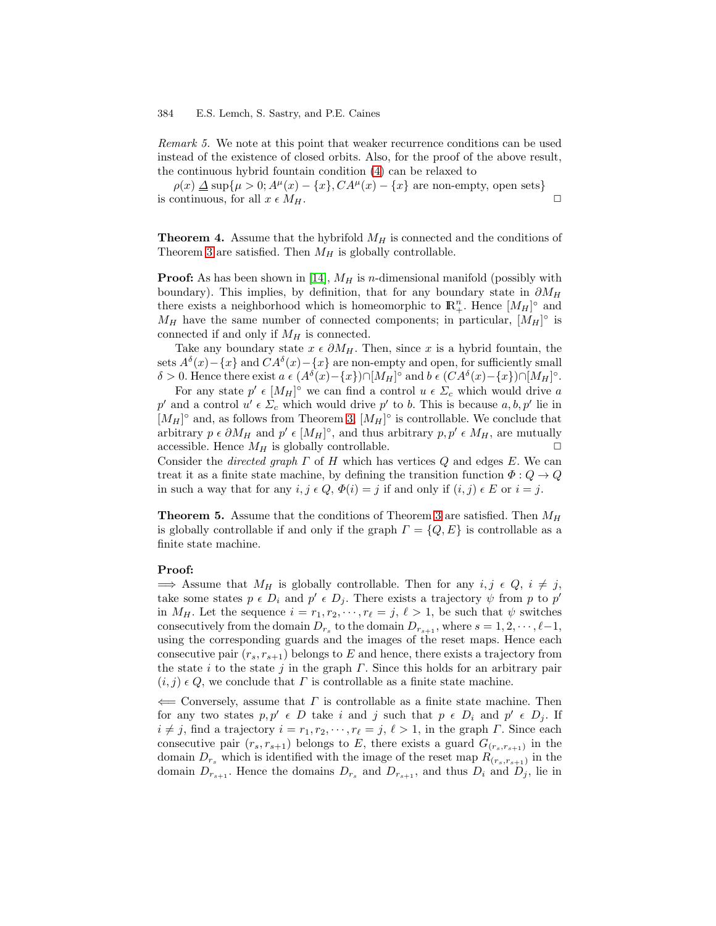<span id="page-9-0"></span>Remark 5. We note at this point that weaker recurrence conditions can be used instead of the existence of closed orbits. Also, for the proof of the above result, the continuous hybrid fountain condition [\(4\)](#page-7-0) can be relaxed to

 $\rho(x) \Delta \sup{\mu > 0}$ ;  $A^{\mu}(x) - \{x\}$ ,  $CA^{\mu}(x) - \{x\}$  are non-empty, open sets} is continuous, for all  $x \in M_H$ .

**Theorem 4.** Assume that the hybrifold  $M_H$  is connected and the conditions of Theorem [3](#page-8-0) are satisfied. Then  $M_H$  is globally controllable.

**Proof:** As has been shown in [\[14\]](#page-11-0),  $M_H$  is n-dimensional manifold (possibly with boundary). This implies, by definition, that for any boundary state in  $\partial M_H$ there exists a neighborhood which is homeomorphic to  $\mathbb{R}^n_+$ . Hence  $[M_H]^\circ$  and  $M_H$  have the same number of connected components; in particular,  $[M_H]^\circ$  is connected if and only if  $M_H$  is connected.

Take any boundary state  $x \in \partial M_H$ . Then, since x is a hybrid fountain, the sets  $A^{\delta}(x) - \{x\}$  and  $CA^{\delta}(x) - \{x\}$  are non-empty and open, for sufficiently small δ > 0. Hence there exist  $a \in (A^{\delta}(x) - \{x\}) \cap [M_H]^{\circ}$  and  $b \in (CA^{\delta}(x) - \{x\}) \cap [M_H]^{\circ}$ .

For any state  $p' \in [M_H]^\circ$  we can find a control  $u \in \Sigma_c$  which would drive a p' and a control  $u' \in \Sigma_c$  which would drive p' to b. This is because  $a, b, p'$  lie in  $[M_H]^\circ$  and, as follows from Theorem [3,](#page-8-0)  $[M_H]^\circ$  is controllable. We conclude that arbitrary  $p \in \partial M_H$  and  $p' \in [M_H]^\circ$ , and thus arbitrary  $p, p' \in M_H$ , are mutually accessible. Hence  $M_H$  is globally controllable.

Consider the *directed graph*  $\Gamma$  of  $H$  which has vertices  $Q$  and edges  $E$ . We can treat it as a finite state machine, by defining the transition function  $\Phi: Q \to Q$ in such a way that for any  $i, j \in Q$ ,  $\Phi(i) = j$  if and only if  $(i, j) \in E$  or  $i = j$ .

**Theorem 5.** Assume that the conditions of Theorem [3](#page-8-0) are satisfied. Then  $M_H$ is globally controllable if and only if the graph  $\Gamma = \{Q, E\}$  is controllable as a finite state machine.

### **Proof:**

 $\implies$  Assume that  $M_H$  is globally controllable. Then for any  $i, j \in Q$ ,  $i \neq j$ , take some states  $p \in D_i$  and  $p' \in D_j$ . There exists a trajectory  $\psi$  from p to p' in  $M_H$ . Let the sequence  $i = r_1, r_2, \dots, r_\ell = j, \ell > 1$ , be such that  $\psi$  switches consecutively from the domain  $D_{r_s}$  to the domain  $D_{r_{s+1}}$ , where  $s = 1, 2, \dots, \ell-1$ , using the corresponding guards and the images of the reset maps. Hence each consecutive pair  $(r<sub>s</sub>, r<sub>s+1</sub>)$  belongs to E and hence, there exists a trajectory from the state i to the state j in the graph  $\Gamma$ . Since this holds for an arbitrary pair  $(i, j) \in Q$ , we conclude that  $\Gamma$  is controllable as a finite state machine.

 $\Leftarrow$  Conversely, assume that  $\Gamma$  is controllable as a finite state machine. Then for any two states  $p, p' \in D$  take i and j such that  $p \in D_i$  and  $p' \in D_j$ . If  $i \neq j$ , find a trajectory  $i = r_1, r_2, \dots, r_\ell = j, \ell > 1$ , in the graph  $\Gamma$ . Since each consecutive pair  $(r_s, r_{s+1})$  belongs to E, there exists a guard  $G_{(r_s, r_{s+1})}$  in the domain  $D_{r_s}$  which is identified with the image of the reset map  $R_{(r_s,r_{s+1})}$  in the domain  $D_{r_{s+1}}$ . Hence the domains  $D_{r_s}$  and  $D_{r_{s+1}}$ , and thus  $D_i$  and  $D_j$ , lie in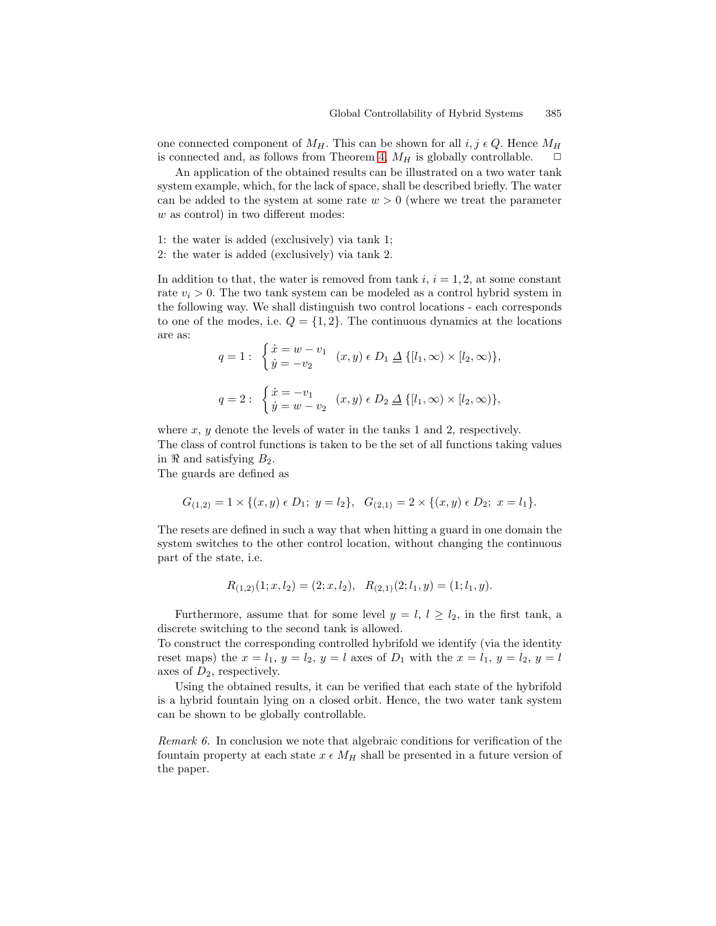one connected component of  $M_H$ . This can be shown for all i, j  $\epsilon Q$ . Hence  $M_H$ is connected and, as follows from Theorem [4,](#page-9-0)  $M_H$  is globally controllable.  $\Box$ 

An application of the obtained results can be illustrated on a two water tank system example, which, for the lack of space, shall be described briefly. The water can be added to the system at some rate  $w > 0$  (where we treat the parameter w as control) in two different modes:

- 1: the water is added (exclusively) via tank 1;
- 2: the water is added (exclusively) via tank 2.

In addition to that, the water is removed from tank i,  $i = 1, 2$ , at some constant rate  $v_i > 0$ . The two tank system can be modeled as a control hybrid system in the following way. We shall distinguish two control locations - each corresponds to one of the modes, i.e.  $Q = \{1, 2\}$ . The continuous dynamics at the locations are as:

$$
q = 1: \begin{cases} \dot{x} = w - v_1 \\ \dot{y} = -v_2 \end{cases} (x, y) \in D_1 \underline{\Delta} \{ [l_1, \infty) \times [l_2, \infty) \},
$$
  

$$
q = 2: \begin{cases} \dot{x} = -v_1 \\ \dot{y} = w - v_2 \end{cases} (x, y) \in D_2 \underline{\Delta} \{ [l_1, \infty) \times [l_2, \infty) \},
$$

where  $x, y$  denote the levels of water in the tanks 1 and 2, respectively. The class of control functions is taken to be the set of all functions taking values in  $\Re$  and satisfying  $B_2$ .

The guards are defined as

$$
G_{(1,2)} = 1 \times \{(x,y) \in D_1; \ y = l_2\}, \quad G_{(2,1)} = 2 \times \{(x,y) \in D_2; \ x = l_1\}.
$$

The resets are defined in such a way that when hitting a guard in one domain the system switches to the other control location, without changing the continuous part of the state, i.e.

$$
R_{(1,2)}(1;x,l_2)=(2;x,l_2), R_{(2,1)}(2;l_1,y)=(1;l_1,y).
$$

Furthermore, assume that for some level  $y = l, l \geq l_2$ , in the first tank, a discrete switching to the second tank is allowed.

To construct the corresponding controlled hybrifold we identify (via the identity reset maps) the  $x = l_1$ ,  $y = l_2$ ,  $y = l$  axes of  $D_1$  with the  $x = l_1$ ,  $y = l_2$ ,  $y = l$ axes of  $D_2$ , respectively.

Using the obtained results, it can be verified that each state of the hybrifold is a hybrid fountain lying on a closed orbit. Hence, the two water tank system can be shown to be globally controllable.

Remark 6. In conclusion we note that algebraic conditions for verification of the fountain property at each state  $x \in M_H$  shall be presented in a future version of the paper.